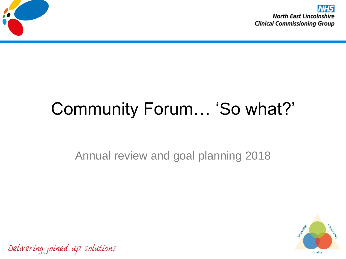

# Community Forum… 'So what?'

Annual review and goal planning 2018



Delivering joined up solutions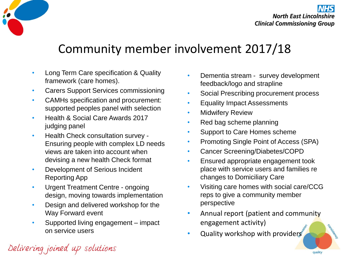

**North East Lincolnshire Clinical Commissioning Group** 

## Community member involvement 2017/18

- Long Term Care specification & Quality framework (care homes).
- Carers Support Services commissioning
- CAMHs specification and procurement: supported peoples panel with selection
- Health & Social Care Awards 2017 judging panel
- Health Check consultation survey Ensuring people with complex LD needs views are taken into account when devising a new health Check format
- Development of Serious Incident Reporting App
- Urgent Treatment Centre ongoing design, moving towards implementation
- Design and delivered workshop for the Way Forward event
- Supported living engagement impact on service users
- Dementia stream survey development feedback/logo and strapline
- Social Prescribing procurement process
- Equality Impact Assessments
- **Midwifery Review**
- Red bag scheme planning
- Support to Care Homes scheme
- Promoting Single Point of Access (SPA)
- Cancer Screening/Diabetes/COPD
- Ensured appropriate engagement took place with service users and families re changes to Domiciliary Care
- Visiting care homes with social care/CCG reps to give a community member perspective
- Annual report (patient and community engagement activity)

quality

Quality workshop with providers

Delivering joined up solutions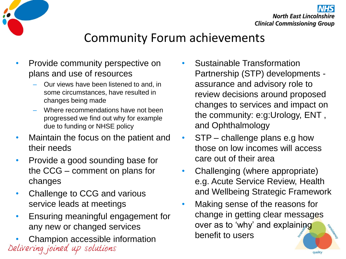

## Community Forum achievements

- Provide community perspective on plans and use of resources
	- Our views have been listened to and, in some circumstances, have resulted in changes being made
	- Where recommendations have not been progressed we find out why for example due to funding or NHSE policy
- Maintain the focus on the patient and their needs
- Provide a good sounding base for the CCG – comment on plans for changes
- Challenge to CCG and various service leads at meetings
- Ensuring meaningful engagement for any new or changed services
- Champion accessible information<br>Delivering joined up solutions
- Sustainable Transformation Partnership (STP) developments assurance and advisory role to review decisions around proposed changes to services and impact on the community: e:g:Urology, ENT , and Ophthalmology
- STP challenge plans e.g how those on low incomes will access care out of their area
- Challenging (where appropriate) e.g. Acute Service Review, Health and Wellbeing Strategic Framework
- Making sense of the reasons for change in getting clear messages over as to 'why' and explaining benefit to users

quality